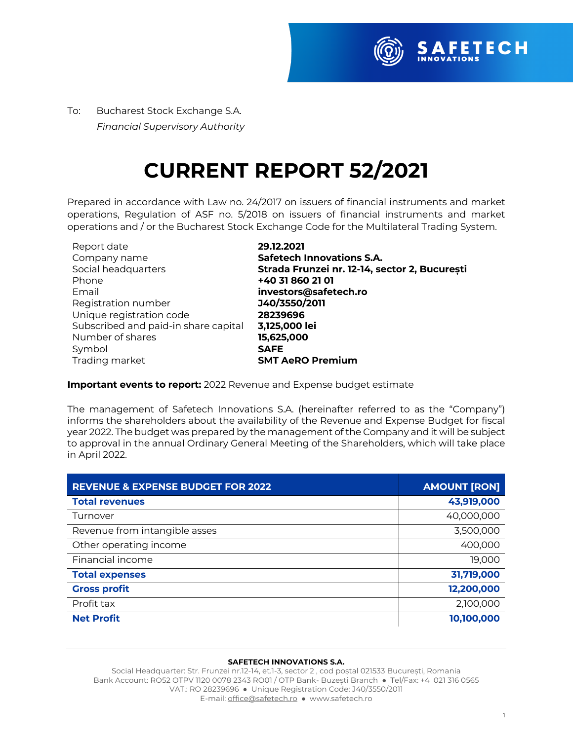

To:Bucharest Stock Exchange S.A.  *Financial Supervisory Authority*

## **CURRENT REPORT 52/2021**

Prepared in accordance with Law no. 24/2017 on issuers of financial instruments and market operations, Regulation of ASF no. 5/2018 on issuers of financial instruments and market operations and / or the Bucharest Stock Exchange Code for the Multilateral Trading System.

| Report date                          | 29.12.2021                                    |
|--------------------------------------|-----------------------------------------------|
| Company name                         | <b>Safetech Innovations S.A.</b>              |
| Social headquarters                  | Strada Frunzei nr. 12-14, sector 2, București |
| Phone                                | +40 31 860 21 01                              |
| Email                                | investors@safetech.ro                         |
| Registration number                  | J40/3550/2011                                 |
| Unique registration code             | 28239696                                      |
| Subscribed and paid-in share capital | 3,125,000 lei                                 |
| Number of shares                     | 15,625,000                                    |
| Symbol                               | <b>SAFE</b>                                   |
| Trading market                       | <b>SMT AeRO Premium</b>                       |

## **Important events to report:** 2022 Revenue and Expense budget estimate

The management of Safetech Innovations S.A. (hereinafter referred to as the "Company") informs the shareholders about the availability of the Revenue and Expense Budget for fiscal year 2022. The budget was prepared by the management of the Company and it will be subject to approval in the annual Ordinary General Meeting of the Shareholders, which will take place in April 2022.

| <b>REVENUE &amp; EXPENSE BUDGET FOR 2022</b> | <b>AMOUNT [RON]</b> |
|----------------------------------------------|---------------------|
| <b>Total revenues</b>                        | 43,919,000          |
| Turnover                                     | 40,000,000          |
| Revenue from intangible asses                | 3,500,000           |
| Other operating income                       | 400,000             |
| Financial income                             | 19,000              |
| <b>Total expenses</b>                        | 31,719,000          |
| <b>Gross profit</b>                          | 12,200,000          |
| Profit tax                                   | 2,100,000           |
| <b>Net Profit</b>                            | 10,100,000          |

## **SAFETECH INNOVATIONS S.A.**

Social Headquarter: Str. Frunzei nr.12-14, et.1-3, sector 2 , cod poștal 021533 București, Romania Bank Account: RO52 OTPV 1120 0078 2343 RO01 / OTP Bank- Buzesti Branch ● Tel/Fax: +4 021 316 0565 VAT.: RO 28239696 ● Unique Registration Code: J40/3550/2011 E-mail: office@safetech.ro ● www.safetech.ro